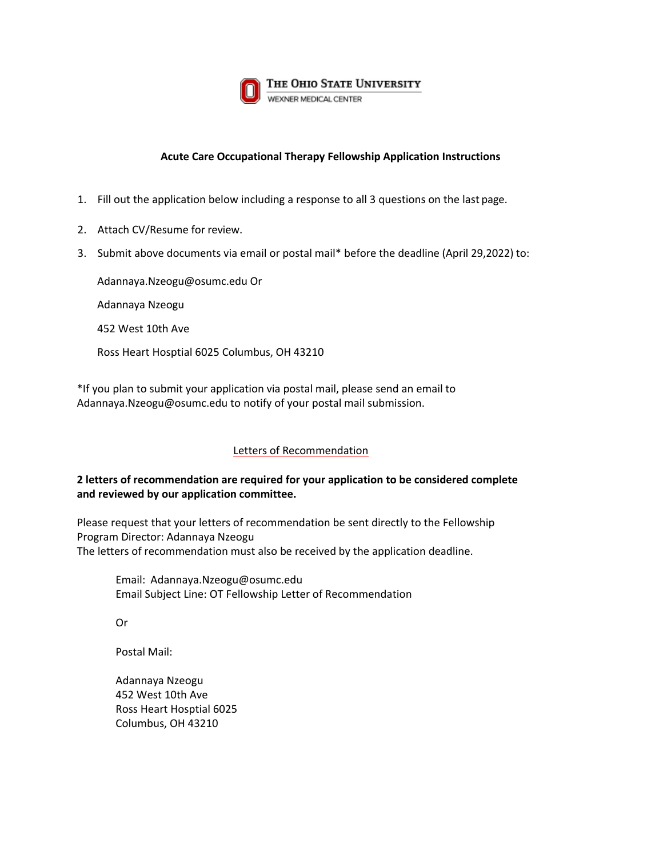

#### **Acute Care Occupational Therapy Fellowship Application Instructions**

- 1. Fill out the application below including a response to all 3 questions on the last page.
- 2. Attach CV/Resume for review.
- 3. [Submit above documents](mailto:Tierney.Bumgardner@osumc.edu) via email or postal mail\* before the deadline (April 29,2022) to:

Adannaya.Nzeogu@osumc.edu Or Adannaya Nzeogu

452 West 10th Ave

Ross Heart Hosptial 6025 Columbus, OH 43210

[\\*If you plan to submit](mailto:Tierney.Bumgardner@osumc.edu) your application via postal mail, please send an email to Adannaya.Nzeogu@osumc.edu to notify of your postal mail submission.

#### Letters of Recommendation

### **2 letters of recommendation are required for your application to be considered complete and reviewed by our application committee.**

Please request that your letters of recommendation be sent directly to the Fellowship Program Director: Adannaya Nzeogu The letters of recommendation must also be received by the application deadline.

Email: [Adannaya.Nzeogu@osumc.edu](mailto:Tierney.Bumgardner@osumc.edu)  Email Subject Line: OT Fellowship Letter of Recommendation

Or

Postal Mail:

Adannaya Nzeogu 452 West 10th Ave Ross Heart Hosptial 6025 Columbus, OH 43210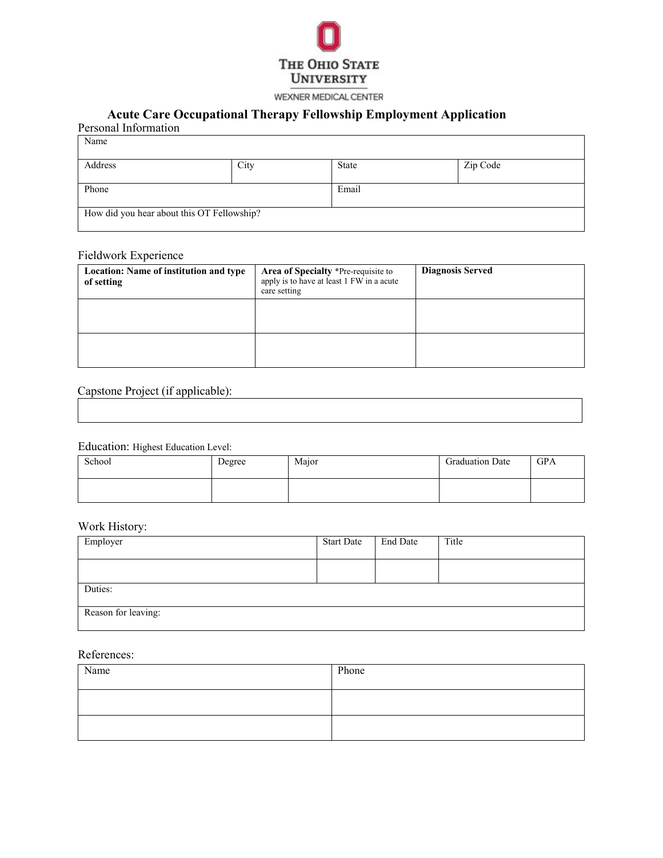

#### WEXNER MEDICAL CENTER

## **Acute Care Occupational Therapy Fellowship Employment Application**

| Personal Information |                                                    |          |  |  |
|----------------------|----------------------------------------------------|----------|--|--|
|                      |                                                    |          |  |  |
|                      | State                                              | Zip Code |  |  |
|                      |                                                    |          |  |  |
| Phone                |                                                    | Email    |  |  |
|                      |                                                    |          |  |  |
|                      |                                                    |          |  |  |
|                      | City<br>How did you hear about this OT Fellowship? |          |  |  |

#### Fieldwork Experience

| Location: Name of institution and type<br>of setting | Area of Specialty *Pre-requisite to<br>apply is to have at least 1 FW in a acute<br>care setting | <b>Diagnosis Served</b> |
|------------------------------------------------------|--------------------------------------------------------------------------------------------------|-------------------------|
|                                                      |                                                                                                  |                         |
|                                                      |                                                                                                  |                         |

# Capstone Project (if applicable):

#### Education: Highest Education Level:

| School | Degree | Major | <b>Graduation Date</b> | GPA |
|--------|--------|-------|------------------------|-----|
|        |        |       |                        |     |

## Work History:

| Employer            | <b>Start Date</b> | <b>End Date</b> | Title |
|---------------------|-------------------|-----------------|-------|
|                     |                   |                 |       |
| Duties:             |                   |                 |       |
| Reason for leaving: |                   |                 |       |

#### References:

| Name | Phone |
|------|-------|
|      |       |
|      |       |